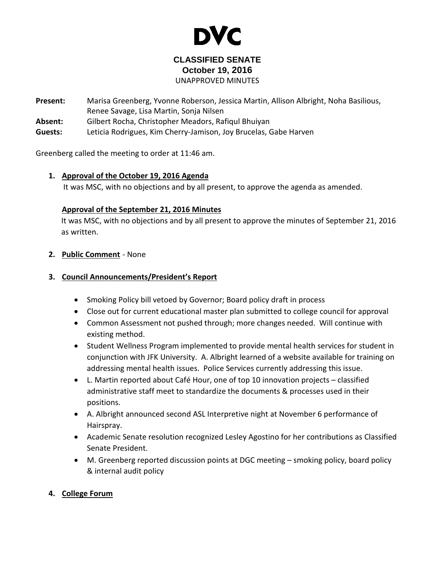

# **CLASSIFIED SENATE October 19, 2016**

UNAPPROVED MINUTES

- **Present:** Marisa Greenberg, Yvonne Roberson, Jessica Martin, Allison Albright, Noha Basilious, Renee Savage, Lisa Martin, Sonja Nilsen
- **Absent:** Gilbert Rocha, Christopher Meadors, Rafiqul Bhuiyan
- **Guests:** Leticia Rodrigues, Kim Cherry-Jamison, Joy Brucelas, Gabe Harven

Greenberg called the meeting to order at 11:46 am.

#### **1.** <sup>U</sup>**Approval of the October 19, 2016 Agenda**

It was MSC, with no objections and by all present, to approve the agenda as amended.

#### **Approval of the September 21, 2016 Minutes**

It was MSC, with no objections and by all present to approve the minutes of September 21, 2016 as written.

#### **2. Public Comment** - None

## **3. Council Announcements/President's Report**

- Smoking Policy bill vetoed by Governor; Board policy draft in process
- Close out for current educational master plan submitted to college council for approval
- Common Assessment not pushed through; more changes needed. Will continue with existing method.
- Student Wellness Program implemented to provide mental health services for student in conjunction with JFK University. A. Albright learned of a website available for training on addressing mental health issues. Police Services currently addressing this issue.
- L. Martin reported about Café Hour, one of top 10 innovation projects classified administrative staff meet to standardize the documents & processes used in their positions.
- A. Albright announced second ASL Interpretive night at November 6 performance of Hairspray.
- Academic Senate resolution recognized Lesley Agostino for her contributions as Classified Senate President.
- M. Greenberg reported discussion points at DGC meeting smoking policy, board policy & internal audit policy

# **4. College Forum**